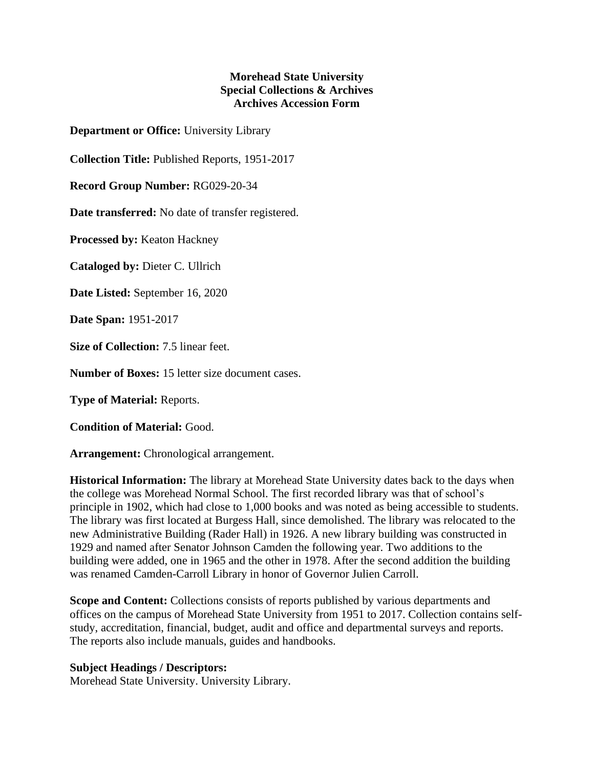## **Morehead State University Special Collections & Archives Archives Accession Form**

**Department or Office:** University Library

**Collection Title:** Published Reports, 1951-2017

**Record Group Number:** RG029-20-34

**Date transferred:** No date of transfer registered.

**Processed by:** Keaton Hackney

**Cataloged by:** Dieter C. Ullrich

**Date Listed:** September 16, 2020

**Date Span:** 1951-2017

**Size of Collection:** 7.5 linear feet.

**Number of Boxes:** 15 letter size document cases.

**Type of Material:** Reports.

**Condition of Material:** Good.

**Arrangement:** Chronological arrangement.

**Historical Information:** The library at Morehead State University dates back to the days when the college was Morehead Normal School. The first recorded library was that of school's principle in 1902, which had close to 1,000 books and was noted as being accessible to students. The library was first located at Burgess Hall, since demolished. The library was relocated to the new Administrative Building (Rader Hall) in 1926. A new library building was constructed in 1929 and named after Senator Johnson Camden the following year. Two additions to the building were added, one in 1965 and the other in 1978. After the second addition the building was renamed Camden-Carroll Library in honor of Governor Julien Carroll.

**Scope and Content:** Collections consists of reports published by various departments and offices on the campus of Morehead State University from 1951 to 2017. Collection contains selfstudy, accreditation, financial, budget, audit and office and departmental surveys and reports. The reports also include manuals, guides and handbooks.

## **Subject Headings / Descriptors:**

Morehead State University. University Library.